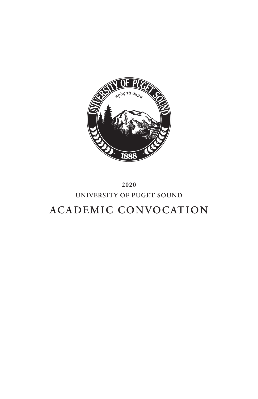

**2020**

# **UNIVERSITY OF PUGET SOUND**

# **ACADEMIC CONVOCATION**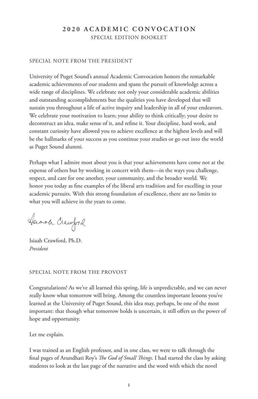# **2 0 2 0 A C A D E M I C C O N V O C A T I O N**  SPECIAL EDITION BOOKLET

#### SPECIAL NOTE FROM THE PRESIDENT

University of Puget Sound's annual Academic Convocation honors the remarkable academic achievements of our students and spans the pursuit of knowledge across a wide range of disciplines. We celebrate not only your considerable academic abilities and outstanding accomplishments but the qualities you have developed that will sustain you throughout a life of active inquiry and leadership in all of your endeavors. We celebrate your motivation to learn; your ability to think critically; your desire to deconstruct an idea, make sense of it, and refine it. Your discipline, hard work, and constant curiosity have allowed you to achieve excellence at the highest levels and will be the hallmarks of your success as you continue your studies or go out into the world as Puget Sound alumni.

Perhaps what I admire most about you is that your achievements have come not at the expense of others but by working in concert with them—in the ways you challenge, respect, and care for one another, your community, and the broader world. We honor you today as fine examples of the liberal arts tradition and for excelling in your academic pursuits. With this strong foundation of excellence, there are no limits to what you will achieve in the years to come.

Huach Crawford

Isiaah Crawford, Ph.D. *President*

## SPECIAL NOTE FROM THE PROVOST

Congratulations! As we've all learned this spring, life is unpredictable, and we can never really know what tomorrow will bring. Among the countless important lessons you've learned at the University of Puget Sound, this idea may, perhaps, be one of the most important: that though what tomorrow holds is uncertain, it still offers us the power of hope and opportunity.

Let me explain.

I was trained as an English professor, and in one class, we were to talk through the final pages of Arundhati Roy's *The God of Small Things*. I had started the class by asking students to look at the last page of the narrative and the word with which the novel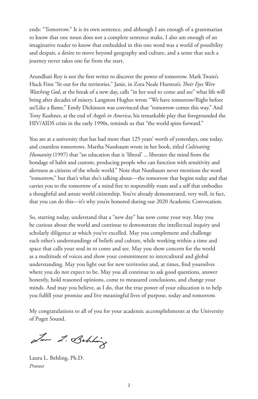ends: "Tomorrow." It is its own sentence, and although I am enough of a grammarian to know that one noun does not a complete sentence make, I also am enough of an imaginative reader to know that embedded in this one word was a world of possibility and despair, a desire to move beyond geography and culture, and a sense that such a journey never takes one far from the start.

Arundhati Roy is not the first writer to discover the power of tomorrow. Mark Twain's Huck Finn "lit out for the territories." Janie, in Zora Neale Hurston's *Their Eyes Were Watching God*, at the break of a new day, calls "in her soul to come and see" what life will bring after decades of misery. Langston Hughes wrote "We have tomorrow/Right before us/Like a flame." Emily Dickinson was convinced that "tomorrow comes this way." And Tony Kushner, at the end of *Angels in America*, his remarkable play that foregrounded the HIV/AIDS crisis in the early 1990s, reminds us that "the world spins forward."

You are at a university that has had more than 125 years' worth of yesterdays, one today, and countless tomorrows. Martha Nussbaum wrote in her book, titled *Cultivating Humanity* (1997) that "an education that is 'liberal' ... liberates the mind from the bondage of habit and custom, producing people who can function with sensitivity and alertness as citizens of the whole world." Note that Nussbaum never mentions the word "tomorrow," but that's what she's talking about—the tomorrow that begins today and that carries you to the tomorrow of a mind free to responsibly roam and a self that embodies a thoughtful and astute world citizenship. You've already demonstrated, very well, in fact, that you can do this—it's why you're honored during our 2020 Academic Convocation.

So, starting today, understand that a "new day" has now come your way. May you be curious about the world and continue to demonstrate the intellectual inquiry and scholarly diligence at which you've excelled. May you complement and challenge each other's understandings of beliefs and culture, while working within a time and space that calls your soul in to come and see. May you show concern for the world as a multitude of voices and show your commitment to intercultural and global understanding. May you light out for new territories and, at times, find yourselves where you do not expect to be. May you all continue to ask good questions, answer honestly, hold reasoned opinions, come to measured conclusions, and change your minds. And may you believe, as I do, that the true power of your education is to help you fulfill your promise and live meaningful lives of purpose, today and tomorrow.

My congratulations to all of you for your academic accomplishments at the University of Puget Sound.

Law 2. Behhing

Laura L. Behling, Ph.D. *Provost*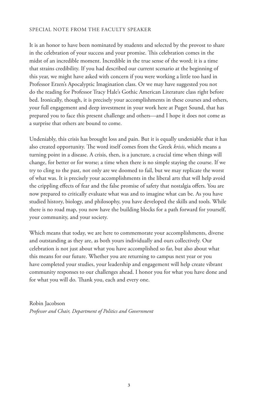#### SPECIAL NOTE FROM THE FACULTY SPEAKER

It is an honor to have been nominated by students and selected by the provost to share in the celebration of your success and your promise. This celebration comes in the midst of an incredible moment. Incredible in the true sense of the word; it is a time that strains credibility. If you had described our current scenario at the beginning of this year, we might have asked with concern if you were working a little too hard in Professor Erzen's Apocalyptic Imagination class. Or we may have suggested you not do the reading for Professor Tracy Hale's Gothic American Literature class right before bed. Ironically, though, it is precisely your accomplishments in these courses and others, your full engagement and deep investment in your work here at Puget Sound, that has prepared you to face this present challenge and others—and I hope it does not come as a surprise that others are bound to come.

Undeniably, this crisis has brought loss and pain. But it is equally undeniable that it has also created opportunity. The word itself comes from the Greek *krisis*, which means a turning point in a disease. A crisis, then, is a juncture, a crucial time when things will change, for better or for worse; a time when there is no simple staying the course. If we try to cling to the past, not only are we doomed to fail, but we may replicate the worst of what was. It is precisely your accomplishments in the liberal arts that will help avoid the crippling effects of fear and the false promise of safety that nostalgia offers. You are now prepared to critically evaluate what was and to imagine what can be. As you have studied history, biology, and philosophy, you have developed the skills and tools. While there is no road map, you now have the building blocks for a path forward for yourself, your community, and your society.

Which means that today, we are here to commemorate your accomplishments, diverse and outstanding as they are, as both yours individually and ours collectively. Our celebration is not just about what you have accomplished so far, but also about what this means for our future. Whether you are returning to campus next year or you have completed your studies, your leadership and engagement will help create vibrant community responses to our challenges ahead. I honor you for what you have done and for what you will do. Thank you, each and every one.

Robin Jacobson *Professor and Chair, Department of Politics and Government*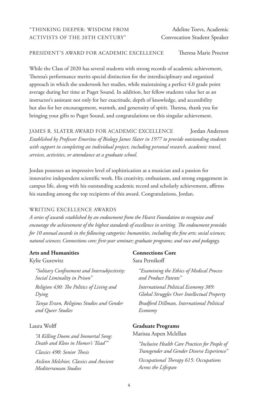## "THINKING DEEPER: WISDOM FROM Adeline Toevs, Academic ACTIVISTS OF THE 20TH CENTURY" Convocation Student Speaker

## PRESIDENT'S AWARD FOR ACADEMIC EXCELLENCE Theresa Marie Proctor

While the Class of 2020 has several students with strong records of academic achievement, Theresa's performance merits special distinction for the interdisciplinary and organized approach in which she undertook her studies, while maintaining a perfect 4.0 grade point average during her time at Puget Sound. In addition, her fellow students value her as an instructor's assistant not only for her exactitude, depth of knowledge, and accessibility but also for her encouragement, warmth, and generosity of spirit. Theresa, thank you for bringing your gifts to Puget Sound, and congratulations on this singular achievement.

JAMES R. SLATER AWARD FOR ACADEMIC EXCELLENCE Jordan Anderson *Established by Professor Emeritus of Biology James Slater in 1977 to provide outstanding students with support in completing an individual project, including personal research, academic travel, services, activities, or attendance at a graduate school.*

Jordan possesses an impressive level of sophistication as a musician and a passion for innovative independent scientific work. His creativity, enthusiasm, and strong engagement in campus life, along with his outstanding academic record and scholarly achievement, affirms his standing among the top recipients of this award. Congratulations, Jordan.

#### WRITING EXCELLENCE AWARDS

*A series of awards established by an endowment from the Hearst Foundation to recognize and encourage the achievement of the highest standards of excellence in writing. The endowment provides for 10 annual awards in the following categories: humanities, including the fine arts; social sciences; natural sciences; Connections core; first-year seminar; graduate programs; and race and pedagogy.*

#### **Arts and Humanities**

#### Kylie Gurewitz

*"Solitary Confinement and Intersubjectivity: Social Liminality in Prison"*

*Religion 430: The Politics of Living and Dying*

*Tanya Erzen, Religious Studies and Gender and Queer Studies* 

## Laura Wolff

*"A Killing Doom and Immortal Song: Death and Kleos in Homer's 'Iliad'" Classics 490: Senior Thesis Aislinn Melchior, Classics and Ancient Mediterranean Studies*

## **Connections Core** Sara Pernikoff

*"Examining the Ethics of Medical Process and Product Patents"* 

*International Political Economy 389: Global Struggles Over Intellectual Property Bradford Dillman, International Political Economy*

#### **Graduate Programs**

Marissa Aspen Mclellan

*"Inclusive Health Care Practices for People of Transgender and Gender Diverse Experience" Occupational Therapy 615: Occupations Across the Lifespan*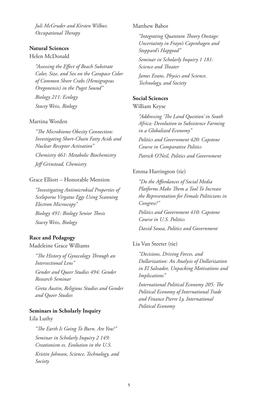*Juli McGruder and Kirsten Wilbur, Occupational Therapy*

## **Natural Sciences**

#### Helen McDonald

*"Assessing the Effect of Beach Substrate Color, Size, and Sex on the Carapace Color of Common Shore Crabs (Hemigrapsus Oregonensis) in the Puget Sound"* 

*Biology 211: Ecology Stacey Weiss, Biology* 

## Martina Worden

*"The Microbiome Obesity Connection: Investigating Short-Chain Fatty Acids and Nuclear Receptor Activation" Chemistry 461: Metabolic Biochemistry Jeff Grinstead, Chemistry*

## Grace Elliott – Honorable Mention

*"Investigating Antimicrobial Properties of Sceloporus Virgatus Eggs Using Scanning Electron Microscopy" Biology 491: Biology Senior Thesis Stacey Weiss, Biology*

## **Race and Pedagogy**

Madeleine Grace Williams

*"The History of Gynecology Through an Intersectional Lens"*

*Gender and Queer Studies 494: Gender Research Seminar* 

*Greta Austin, Religious Studies and Gender and Queer Studies*

#### **Seminars in Scholarly Inquiry**

Lila Luthy

*"The Earth Is Going To Burn. Are You?" Seminar in Scholarly Inquiry 2 149: Creationism vs. Evolution in the U.S.*

*Kristin Johnson, Science, Technology, and Society* 

#### Matthew Babor

*"Integrating Quantum Theory Onstage: Uncertainty in Frayn's Copenhagen and Stoppard's Hapgood" Seminar in Scholarly Inquiry 1 181: Science and Theater James Evans, Physics and Science, Technology, and Society*

## **Social Sciences**

William Keyse

*"Addressing 'The Land Question' in South Africa: Devolution to Subsistence Farming in a Globalized Economy" Politics and Government 420: Capstone Course in Comparative Politics Patrick O'Neil, Politics and Government* 

## Emma Harrington (tie)

*"Do the Affordances of Social Media Platforms Make Them a Tool To Increase the Representation for Female Politicians in Congress?"*

*Politics and Government 410: Capstone Course in U.S. Politics*

*David Sousa, Politics and Government*

#### Lia Van Steeter (tie)

*"Decisions, Driving Forces, and Dollarization: An Analysis of Dollarization in El Salvador, Unpacking Motivations and Implications"*

*International Political Economy 205: The Political Economy of International Trade and Finance Pierre Ly, International Political Economy*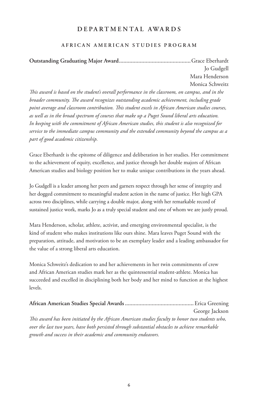# **DEPARTMENTAL AWARDS**

## **AFRICAN AMERICAN STUDIES PROGRAM**

**Outstanding Graduating Major Award................................................**Grace Eberhardt Jo Gudgell Mara Henderson Monica Schweitz

*This award is based on the student's overall performance in the classroom, on campus, and in the broader community. The award recognizes outstanding academic achievement, including grade point average and classroom contribution. This student excels in African American studies courses, as well as in the broad spectrum of courses that make up a Puget Sound liberal arts education. In keeping with the commitment of African American studies, this student is also recognized for service to the immediate campus community and the extended community beyond the campus as a part of good academic citizenship.*

Grace Eberhardt is the epitome of diligence and deliberation in her studies. Her commitment to the achievement of equity, excellence, and justice through her double majors of African American studies and biology position her to make unique contributions in the years ahead.

Jo Gudgell is a leader among her peers and garners respect through her sense of integrity and her dogged commitment to meaningful student action in the name of justice. Her high GPA across two disciplines, while carrying a double major, along with her remarkable record of sustained justice work, marks Jo as a truly special student and one of whom we are justly proud.

Mara Henderson, scholar, athlete, activist, and emerging environmental specialist, is the kind of student who makes institutions like ours shine. Mara leaves Puget Sound with the preparation, attitude, and motivation to be an exemplary leader and a leading ambassador for the value of a strong liberal arts education.

Monica Schweitz's dedication to and her achievements in her twin commitments of crew and African American studies mark her as the quintessential student-athlete. Monica has succeeded and excelled in disciplining both her body and her mind to function at the highest levels.

|                                                                                                  | George Jackson |
|--------------------------------------------------------------------------------------------------|----------------|
| This award has been initiated by the African American studies faculty to honor two students who, |                |
| over the last two years, have both persisted through substantial obstacles to achieve remarkable |                |
| growth and success in their academic and community endeavors.                                    |                |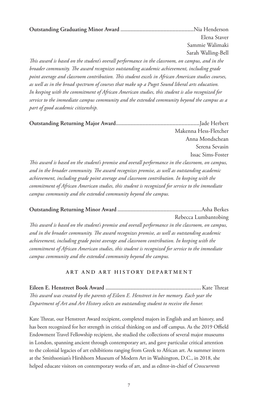**Outstanding Graduating Minor Award .................................................**Nia Henderson Elena Staver Sammie Walimaki Sarah Walling-Bell

*This award is based on the student's overall performance in the classroom, on campus, and in the broader community. The award recognizes outstanding academic achievement, including grade point average and classroom contribution. This student excels in African American studies courses, as well as in the broad spectrum of courses that make up a Puget Sound liberal arts education. In keeping with the commitment of African American studies, this student is also recognized for service to the immediate campus community and the extended community beyond the campus as a part of good academic citizenship.*

**Outstanding Returning Major Award........................................................**Jade Herbert Makenna Hess-Fletcher Anna Mondschean Serena Sevasin Issac Sims-Foster *This award is based on the student's promise and overall performance in the classroom, on campus,* 

*and in the broader community. The award recognizes promise, as well as outstanding academic achievement, including grade point average and classroom contribution. In keeping with the commitment of African American studies, this student is recognized for service to the immediate campus community and the extended community beyond the campus.*

**Outstanding Returning Minor Award ........................................................**Asha Berkes Rebecca Lumbantobing

*This award is based on the student's promise and overall performance in the classroom, on campus, and in the broader community. The award recognizes promise, as well as outstanding academic achievement, including grade point average and classroom contribution. In keeping with the commitment of African American studies, this student is recognized for service to the immediate campus community and the extended community beyond the campus.*

## **ART AND ART HISTORY DEPARTMENT**

**Eileen E. Henstreet Book Award ................................................................**Kate Threat *This award was created by the parents of Eileen E. Henstreet in her memory. Each year the Department of Art and Art History selects an outstanding student to receive the honor.*

Kate Threat, our Henstreet Award recipient, completed majors in English and art history, and has been recognized for her strength in critical thinking on and off campus. As the 2019 Offield Endowment Travel Fellowship recipient, she studied the collections of several major museums in London, spanning ancient through contemporary art, and gave particular critical attention to the colonial legacies of art exhibitions ranging from Greek to African art. As summer intern at the Smithsonian's Hirshhorn Museum of Modern Art in Washington, D.C., in 2018, she helped educate visitors on contemporary works of art, and as editor-in-chief of *Crosscurrents*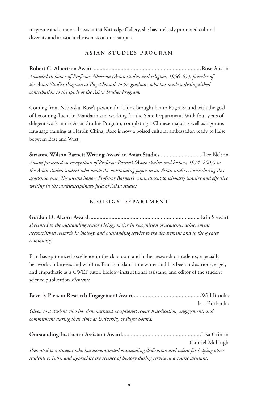magazine and curatorial assistant at Kittredge Gallery, she has tirelessly promoted cultural diversity and artistic inclusiveness on our campus.

## **ASIAN STUDIES PROGRAM**

**Robert G. Albertson Award........................................................................**Rose Austin *Awarded in honor of Professor Albertson (Asian studies and religion, 1956–87), founder of the Asian Studies Program at Puget Sound, to the graduate who has made a distinguished contribution to the spirit of the Asian Studies Program.*

Coming from Nebraska, Rose's passion for China brought her to Puget Sound with the goal of becoming fluent in Mandarin and working for the State Department. With four years of diligent work in the Asian Studies Program, completing a Chinese major as well as rigorous language training at Harbin China, Rose is now a poised cultural ambassador, ready to liaise between East and West.

**Suzanne Wilson Barnett Writing Award in Asian Studies.............................**Lee Nelson *Award presented in recognition of Professor Barnett (Asian studies and history, 1974–2007) to the Asian studies student who wrote the outstanding paper in an Asian studies course during this academic year. The award honors Professor Barnett's commitment to scholarly inquiry and effective writing in the multidisciplinary field of Asian studies.*

## **BIOLOGY DEPARTMENT**

**Gordon D. Alcorn Award ..........................................................................**Erin Stewart *Presented to the outstanding senior biology major in recognition of academic achievement, accomplished research in biology, and outstanding service to the department and to the greater community.*

Erin has epitomized excellence in the classroom and in her research on rodents, especially her work on beavers and wildfire. Erin is a "dam" fine writer and has been industrious, eager, and empathetic as a CWLT tutor, biology instructional assistant, and editor of the student science publication *Elements*.

|                                                                                                                                                        | Jess Fairbanks |
|--------------------------------------------------------------------------------------------------------------------------------------------------------|----------------|
| Given to a student who has demonstrated exceptional research dedication, engagement, and<br>commitment during their time at University of Puget Sound. |                |

|                                                                                                 | Gabriel McHugh |
|-------------------------------------------------------------------------------------------------|----------------|
| Presented to a student who has demonstrated outstanding dedication and talent for helping other |                |
| students to learn and appreciate the science of biology during service as a course assistant.   |                |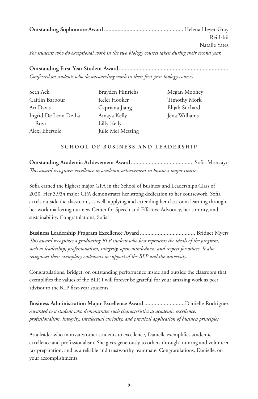**Outstanding Sophomore Award .....................................................** Helena Heyer-Gray Rei Ishii Natalie Yates *For students who do exceptional work in the two biology courses taken during their second year.*

**Outstanding First-Year Student Award.........................................................................** *Conferred on students who do outstanding work in their first-year biology courses.*

| Seth Ack             |  |
|----------------------|--|
| Caitlin Barbour      |  |
| Ari Davis            |  |
| Ingrid De Leon De La |  |
| Rosa                 |  |
| Alexi Ebersole       |  |

Brayden Hinrichs Kelci Hooker Capriana Jiang Amaya Kelly Lilly Kelly Julie Mei Messing

Megan Mooney Timothy Mork Elijah Suchard Jena Williams

## **SCHOOL OF BUSINESS AND LEADERSHIP**

**Outstanding Academic Achievement Award..........................................** Sofia Moncayo *This award recognizes excellence in academic achievement in business major courses.*

Sofia earned the highest major GPA in the School of Business and Leadership's Class of 2020. Her 3.934 major GPA demonstrates her strong dedication to her coursework. Sofia excels outside the classroom, as well, applying and extending her classroom learning through her work marketing our new Center for Speech and Effective Advocacy, her sorority, and sustainability. Congratulations, Sofia!

**Business Leadership Program Excellence Award .....................................** Bridget Myers *This award recognizes a graduating BLP student who best represents the ideals of the program, such as leadership, professionalism, integrity, open-mindedness, and respect for others. It also recognizes their exemplary endeavors in support of the BLP and the university.*

Congratulations, Bridget, on outstanding performance inside and outside the classroom that exemplifies the values of the BLP. I will forever be grateful for your amazing work as peer advisor to the BLP first-year students.

**Business Administration Major Excellence Award ...........................**Danielle Rodriguez *Awarded to a student who demonstrates such characteristics as academic excellence, professionalism, integrity, intellectual curiosity, and practical application of business principles.*

As a leader who motivates other students to excellence, Danielle exemplifies academic excellence and professionalism. She gives generously to others through tutoring and volunteer tax preparation, and as a reliable and trustworthy teammate. Congratulations, Danielle, on your accomplishments.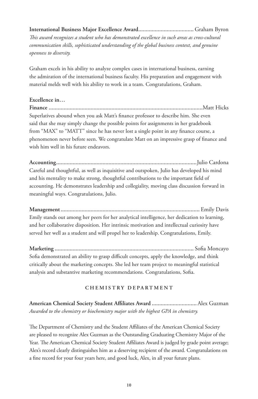**International Business Major Excellence Award.....................................** Graham Byron *This award recognizes a student who has demonstrated excellence in such areas as cross-cultural communication skills, sophisticated understanding of the global business context, and genuine openness to diversity.*

Graham excels in his ability to analyze complex cases in international business, earning the admiration of the international business faculty. His preparation and engagement with material melds well with his ability to work in a team. Congratulations, Graham.

## **Excellence in…**

**Finance .......................................................................................................**Matt Hicks Superlatives abound when you ask Matt's finance professor to describe him. She even said that she may simply change the possible points for assignments in her gradebook from "MAX" to "MATT" since he has never lost a single point in any finance course, a phenomenon never before seen. We congratulate Matt on an impressive grasp of finance and wish him well in his future endeavors.

**Accounting..............................................................................................**Julio Cardona Careful and thoughtful, as well as inquisitive and outspoken, Julio has developed his mind and his mentality to make strong, thoughtful contributions to the important field of accounting. He demonstrates leadership and collegiality, moving class discussion forward in meaningful ways. Congratulations, Julio.

**Management.............................................................................................** Emily Davis Emily stands out among her peers for her analytical intelligence, her dedication to learning, and her collaborative disposition. Her intrinsic motivation and intellectual curiosity have served her well as a student and will propel her to leadership. Congratulations, Emily.

**Marketing .............................................................................................** Sofia Moncayo Sofia demonstrated an ability to grasp difficult concepts, apply the knowledge, and think critically about the marketing concepts. She led her team project to meaningful statistical analysis and substantive marketing recommendations. Congratulations, Sofia.

## **CHEMISTRY DEPARTMENT**

**American Chemical Society Student Affiliates Award ..............................**Alex Guzman *Awarded to the chemistry or biochemistry major with the highest GPA in chemistry.*

The Department of Chemistry and the Student Affiliates of the American Chemical Society are pleased to recognize Alex Guzman as the Outstanding Graduating Chemistry Major of the Year. The American Chemical Society Student Affiliates Award is judged by grade point average; Alex's record clearly distinguishes him as a deserving recipient of the award. Congratulations on a fine record for your four years here, and good luck, Alex, in all your future plans.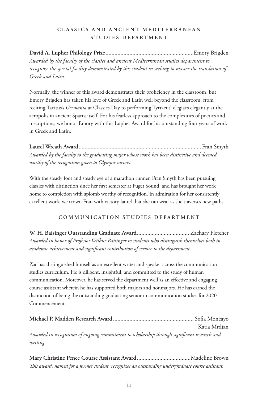## **CLASSICS AND ANCIENT MEDITERRANEAN STUDIES DEPARTMENT**

**David A. Lupher Philology Prize...........................................................**Emory Brigden *Awarded by the faculty of the classics and ancient Mediterranean studies department to recognize the special facility demonstrated by this student in seeking to master the translation of Greek and Latin.*

Normally, the winner of this award demonstrates their proficiency in the classroom, but Emory Brigden has taken his love of Greek and Latin well beyond the classroom, from reciting Tacitus's *Germania* at Classics Day to performing Tyrtaeus' elegiacs elegantly at the acropolis in ancient Sparta itself. For his fearless approach to the complexities of poetics and inscriptions, we honor Emory with this Lupher Award for his outstanding four years of work in Greek and Latin.

**Laurel Wreath Award..................................................................................** Fran Smyth *Awarded by the faculty to the graduating major whose work has been distinctive and deemed worthy of the recognition given to Olympic victors.*

With the steady foot and steady eye of a marathon runner, Fran Smyth has been pursuing classics with distinction since her first semester at Puget Sound, and has brought her work home to completion with aplomb worthy of recognition. In admiration for her consistently excellent work, we crown Fran with victory laurel that she can wear as she traverses new paths.

## **COMMUNICATION STUDIES DEPARTMENT**

**W. H. Baisinger Outstanding Graduate Award...................................** Zachary Fletcher *Awarded in honor of Professor Wilbur Baisinger to students who distinguish themselves both in academic achievement and significant contribution of service to the department.*

Zac has distinguished himself as an excellent writer and speaker across the communication studies curriculum. He is diligent, insightful, and committed to the study of human communication. Moreover, he has served the department well as an effective and engaging course assistant wherein he has supported both majors and nonmajors. He has earned the distinction of being the outstanding graduating senior in communication studies for 2020 Commencement.

|                                                                                              | Katia Mrdjan |
|----------------------------------------------------------------------------------------------|--------------|
| Awarded in recognition of ongoing commitment to scholarship through significant research and |              |
| writing.                                                                                     |              |

**Mary Christine Pence Course Assistant Award ....................................**Madeline Brown *This award, named for a former student, recognizes an outstanding undergraduate course assistant.*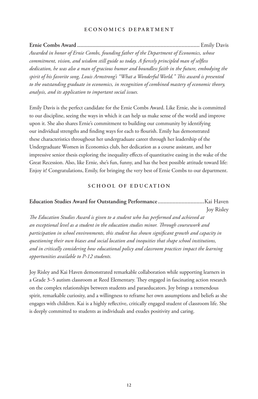#### **ECONOMICS DEPARTMENT**

**Ernie Combs Award ..................................................................................** Emily Davis *Awarded in honor of Ernie Combs, founding father of the Department of Economics, whose commitment, vision, and wisdom still guide us today. A fiercely principled man of selfless dedication, he was also a man of gracious humor and boundless faith in the future, embodying the spirit of his favorite song, Louis Armstrong's "What a Wonderful World." This award is presented to the outstanding graduate in economics, in recognition of combined mastery of economic theory, analysis, and its application to important social issues.*

Emily Davis is the perfect candidate for the Ernie Combs Award. Like Ernie, she is committed to our discipline, seeing the ways in which it can help us make sense of the world and improve upon it. She also shares Ernie's commitment to building our community by identifying our individual strengths and finding ways for each to flourish. Emily has demonstrated these characteristics throughout her undergraduate career through her leadership of the Undergraduate Women in Economics club, her dedication as a course assistant, and her impressive senior thesis exploring the inequality effects of quantitative easing in the wake of the Great Recession. Also, like Ernie, she's fun, funny, and has the best possible attitude toward life: Enjoy it! Congratulations, Emily, for bringing the very best of Ernie Combs to our department.

#### **SCHOOL OF EDUCATION**

## **Education Studies Award for Outstanding Performance ...............................**Kai Haven Joy Risley

*The Education Studies Award is given to a student who has performed and achieved at an exceptional level as a student in the education studies minor. Through coursework and participation in school environments, this student has shown significant growth and capacity in questioning their own biases and social location and inequities that shape school institutions, and in critically considering how educational policy and classroom practices impact the learning opportunities available to P-12 students.*

Joy Risley and Kai Haven demonstrated remarkable collaboration while supporting learners in a Grade 3–5 autism classroom at Reed Elementary. They engaged in fascinating action research on the complex relationships between students and paraeducators. Joy brings a tremendous spirit, remarkable curiosity, and a willingness to reframe her own assumptions and beliefs as she engages with children. Kai is a highly reflective, critically engaged student of classroom life. She is deeply committed to students as individuals and exudes positivity and caring.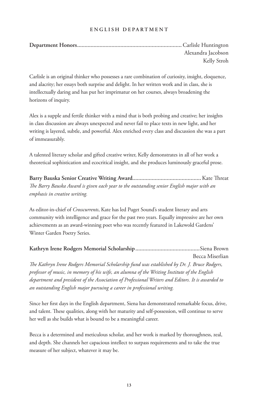## **ENGLISH DEPARTMENT**

| Alexandra Jacobson |
|--------------------|
| Kelly Stroh        |

Carlisle is an original thinker who possesses a rare combination of curiosity, insight, eloquence, and alacrity; her essays both surprise and delight. In her written work and in class, she is intellectually daring and has put her imprimatur on her courses, always broadening the horizons of inquiry.

Alex is a supple and fertile thinker with a mind that is both probing and creative; her insights in class discussion are always unexpected and never fail to place texts in new light, and her writing is layered, subtle, and powerful. Alex enriched every class and discussion she was a part of immeasurably.

A talented literary scholar and gifted creative writer, Kelly demonstrates in all of her work a theoretical sophistication and ecocritical insight, and she produces luminously graceful prose.

**Barry Bauska Senior Creative Writing Award..............................................**Kate Threat *The Barry Bauska Award is given each year to the outstanding senior English major with an emphasis in creative writing.*

As editor-in-chief of *Crosscurrents*, Kate has led Puget Sound's student literary and arts community with intelligence and grace for the past two years. Equally impressive are her own achievements as an award-winning poet who was recently featured in Lakewold Gardens' Winter Garden Poetry Series.

# **Kathryn Irene Rodgers Memorial Scholarship...........................................**Siena Brown Becca Miserlian *The Kathryn Irene Rodgers Memorial Scholarship fund was established by Dr. J. Bruce Rodgers, professor of music, in memory of his wife, an alumna of the Writing Institute of the English*

*department and president of the Association of Professional Writers and Editors. It is awarded to an outstanding English major pursuing a career in professional writing.*

Since her first days in the English department, Siena has demonstrated remarkable focus, drive, and talent. These qualities, along with her maturity and self-possession, will continue to serve her well as she builds what is bound to be a meaningful career.

Becca is a determined and meticulous scholar, and her work is marked by thoroughness, zeal, and depth. She channels her capacious intellect to surpass requirements and to take the true measure of her subject, whatever it may be.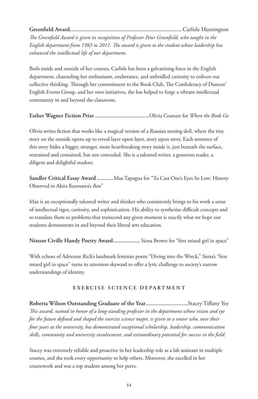**Greenfield Award...........................................................................**Carlisle Huntington

*The Greenfield Award is given in recognition of Professor Peter Greenfield, who taught in the English department from 1983 to 2011. The award is given to the student whose leadership has enhanced the intellectual life of our department.*

Both inside and outside of her courses, Carlisle has been a galvanizing force in the English department, channeling her enthusiasm, exuberance, and unbridled curiosity to enliven our collective thinking. Through her commitment to the Book Club, The Confederacy of Dunces/ English Events Group, and her own initiatives, she has helped to forge a vibrant intellectual community in and beyond the classroom.

## **Esther Wagner Fiction Prize ....................................**Olivia Couture for *Where the Birds Go*

Olivia writes fiction that works like a magical version of a Russian nesting doll, where the tiny story on the outside opens up to reveal layer upon layer, story upon story. Each sentence of this story hides a bigger, stranger, more heartbreaking story inside it, just beneath the surface, restrained and contained, but not concealed. She is a talented writer, a generous reader, a diligent and delightful student.

**Sandler Critical Essay Award ...........**Max Tapogna for "To Cast One's Eyes So Low: History Observed in Akira Kurosawa's *Ran*"

Max is an exceptionally talented writer and thinker who consistently brings to his work a sense of intellectual rigor, curiosity, and sophistication. His ability to synthesize difficult concepts and to translate them to problems that transcend any given moment is exactly what we hope our students demonstrate in and beyond their liberal arts education.

**Nixeon Civille Handy Poetry Award..................** Siena Brown for "first mixed girl in space"

With echoes of Adrienne Rich's landmark feminist poem "Diving into the Wreck," Siena's "first mixed girl in space" turns its attention skyward to offer a lyric challenge to society's narrow understandings of identity.

## **EXERCISE SCIENCE DEPARTMENT**

**Roberta Wilson Outstanding Graduate of the Year............................**Stacey Tiffany Yee *This award, named in honor of a long-standing professor in the department whose vision and eye for the future defined and shaped the exercise science major, is given to a senior who, over their four years at the university, has demonstrated exceptional scholarship, leadership, communication skills, community and university involvement, and extraordinary potential for success in the field.*

Stacey was extremely reliable and proactive in her leadership role as a lab assistant in multiple courses, and she took every opportunity to help others. Moreover, she excelled in her coursework and was a top student among her peers.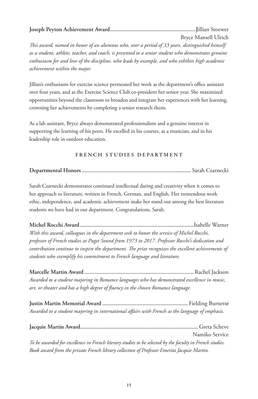# **Joseph Peyton Achievement Award.........................................................J**illian Stoewer

Bryce Mansell Ulrich

*This award, named in honor of an alumnus who, over a period of 33 years, distinguished himself as a student, athlete, teacher, and coach, is presented to a senior student who demonstrates genuine enthusiasm for and love of the discipline, who leads by example, and who exhibits high academic achievement within the major.*

Jillian's enthusiasm for exercise science permeated her work as the department's office assistant over four years, and as the Exercise Science Club co-president her senior year. She maximized opportunities beyond the classroom to broaden and integrate her experiences with her learning, crowning her achievements by completing a senior research thesis.

As a lab assistant, Bryce always demonstrated professionalism and a genuine interest in supporting the learning of his peers. He excelled in his courses, as a musician, and in his leadership role in outdoor education.

## **FRENCH STUDIES DEPARTMENT**

# **Departmental Honors.........................................................................** Sarah Czarnecki

Sarah Czarnecki demonstrates continued intellectual daring and creativity when it comes to her approach to literature, written in French, German, and English. Her tremendous work ethic, independence, and academic achievement make her stand out among the best literature students we have had in our department. Congratulations, Sarah.

**Michel Rocchi Award ............................................................................**Isabelle Warner *With this award, colleagues in the department seek to honor the service of Michel Rocchi, professor of French studies at Puget Sound from 1973 to 2017. Professor Rocchi's dedication and contribution continue to inspire the department. The prize recognizes the excellent achievements of students who exemplify his commitment to French language and literature.*

**Marcelle Martin Award .........................................................................**Rachel Jackson *Awarded to a student majoring in Romance languages who has demonstrated excellence in music, art, or theater and has a high degree of fluency in the chosen Romance language.*

**Justin Martin Memorial Award .........................................................** Fielding Burnett**e** *Awarded to a student majoring in international affairs with French as the language of emphasis.*

| Namiko Service                                                                                           |
|----------------------------------------------------------------------------------------------------------|
| To be awarded for excellence in French literary studies to be selected by the faculty in French studies. |
| Book award from the private French library collection of Professor Emerita Jacquie Martin.               |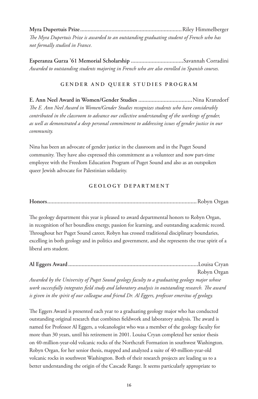**Myra Dupertuis Prize....................................................................**Riley Himmelberger *The Myra Dupertuis Prize is awarded to an outstanding graduating student of French who has not formally studied in France.*

**Esperanza Gurza '61 Memorial Scholarship ...................................**Savannah Corradini *Awarded to outstanding students majoring in French who are also enrolled in Spanish courses.*

## **GENDER AND QUEER STUDIES PROGRAM**

**E. Ann Neel Award in Women/Gender Studies ....................................**Nina Kranzdorf *The E. Ann Neel Award in Women/Gender Studies recognizes students who have considerably contributed in the classroom to advance our collective understanding of the workings of gender, as well as demonstrated a deep personal commitment to addressing issues of gender justice in our community.*

Nina has been an advocate of gender justice in the classroom and in the Puget Sound community. They have also expressed this commitment as a volunteer and now part-time employee with the Freedom Education Program of Puget Sound and also as an outspoken queer Jewish advocate for Palestinian solidarity.

## **GEOLOGY DEPARTMENT**

**Honors....................................................................................................**Robyn Organ

The geology department this year is pleased to award departmental honors to Robyn Organ, in recognition of her boundless energy, passion for learning, and outstanding academic record. Throughout her Puget Sound career, Robyn has crossed traditional disciplinary boundaries, excelling in both geology and in politics and government, and she represents the true spirit of a liberal arts student.

**Al Eggers Award.......................................................................................**Louisa Cryan

Robyn Organ

*Awarded by the University of Puget Sound geology faculty to a graduating geology major whose work successfully integrates field study and laboratory analysis in outstanding research. The award is given in the spirit of our colleague and friend Dr. Al Eggers, professor emeritus of geology.*

The Eggers Award is presented each year to a graduating geology major who has conducted outstanding original research that combines fieldwork and laboratory analysis. The award is named for Professor Al Eggers, a volcanologist who was a member of the geology faculty for more than 30 years, until his retirement in 2001. Louisa Cryan completed her senior thesis on 40-million-year-old volcanic rocks of the Northcraft Formation in southwest Washington. Robyn Organ, for her senior thesis, mapped and analyzed a suite of 40-million-year-old volcanic rocks in southwest Washington. Both of their research projects are leading us to a better understanding the origin of the Cascade Range. It seems particularly appropriate to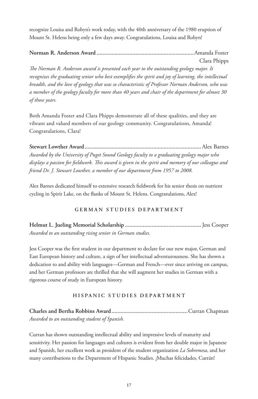recognize Louisa and Robyn's work today, with the 40th anniversary of the 1980 eruption of Mount St. Helens being only a few days away. Congratulations, Louisa and Robyn!

**Norman R. Anderson Award .................................................................**Amanda Foster Clara Phipps

*The Norman R. Anderson award is presented each year to the outstanding geology major. It recognizes the graduating senior who best exemplifies the spirit and joy of learning, the intellectual breadth, and the love of geology that was so characteristic of Professor Norman Anderson, who was a member of the geology faculty for more than 40 years and chair of the department for almost 30 of those years.*

Both Amanda Foster and Clara Phipps demonstrate all of these qualities, and they are vibrant and valued members of our geology community. Congratulations, Amanda! Congratulations, Clara!

**Stewart Lowther Award..............................................................................**Alex Barnes *Awarded by the University of Puget Sound Geology faculty to a graduating geology major who displays a passion for fieldwork. This award is given in the spirit and memory of our colleague and friend Dr. J. Stewart Lowther, a member of our department from 1957 to 2008.*

Alex Barnes dedicated himself to extensive research fieldwork for his senior thesis on nutrient cycling in Spirit Lake, on the flanks of Mount St. Helens. Congratulations, Alex!

## **GERMAN STUDIES DEPARTMENT**

**Helmut L. Jueling Memorial Scholarship ...................................................**Jess Cooper *Awarded to an outstanding rising senior in German studies.*

Jess Cooper was the first student in our department to declare for our new major, German and East European history and culture, a sign of her intellectual adventurousness. She has shown a dedication to and ability with languages—German and French—ever since arriving on campus, and her German professors are thrilled that she will augment her studies in German with a rigorous course of study in European history.

## **HISPANIC STUDIES DEPARTMENT**

**Charles and Bertha Robbins Award...................................................**Curran Chapman *Awarded to an outstanding student of Spanish.*

Curran has shown outstanding intellectual ability and impressive levels of maturity and sensitivity. Her passion for languages and cultures is evident from her double major in Japanese and Spanish, her excellent work as president of the student organization *La Sobremesa*, and her many contributions to the Department of Hispanic Studies. ¡Muchas felicidades, Currán!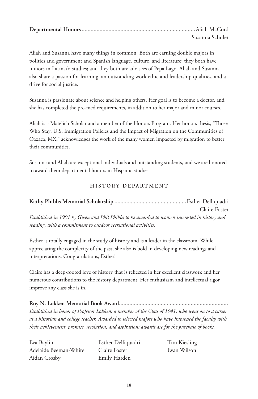| Susanna Schuler |
|-----------------|

Aliah and Susanna have many things in common: Both are earning double majors in politics and government and Spanish language, culture, and literature; they both have minors in Latina/o studies; and they both are advisees of Pepa Lago. Aliah and Susanna also share a passion for learning, an outstanding work ethic and leadership qualities, and a drive for social justice.

Susanna is passionate about science and helping others. Her goal is to become a doctor, and she has completed the pre-med requirements, in addition to her major and minor courses.

Aliah is a Matelich Scholar and a member of the Honors Program. Her honors thesis, "Those Who Stay: U.S. Immigration Policies and the Impact of Migration on the Communities of Oaxaca, MX," acknowledges the work of the many women impacted by migration to better their communities.

Susanna and Aliah are exceptional individuals and outstanding students, and we are honored to award them departmental honors in Hispanic studies.

## **HISTORY DEPARTMENT**

**Kathy Phibbs Memorial Scholarship ................................................**Esther Delliquadri Claire Foster *Established in 1991 by Gwen and Phil Phibbs to be awarded to women interested in history and reading, with a commitment to outdoor recreational activities.*

Esther is totally engaged in the study of history and is a leader in the classroom. While appreciating the complexity of the past, she also is bold in developing new readings and interpretations. Congratulations, Esther!

Claire has a deep-rooted love of history that is reflected in her excellent classwork and her numerous contributions to the history department. Her enthusiasm and intellectual rigor improve any class she is in.

**Roy N. Lokken Memorial Book Award.........................................................................** *Established in honor of Professor Lokken, a member of the Class of 1941, who went on to a career as a historian and college teacher. Awarded to selected majors who have impressed the faculty with their achievement, promise, resolution, and aspiration; awards are for the purchase of books.*

Eva Baylin Adelaide Beeman-White Aidan Crosby

Esther Delliquadri Claire Foster Emily Harden

Tim Kiesling Evan Wilson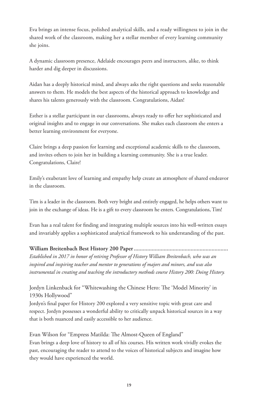Eva brings an intense focus, polished analytical skills, and a ready willingness to join in the shared work of the classroom, making her a stellar member of every learning community she joins.

A dynamic classroom presence, Adelaide encourages peers and instructors, alike, to think harder and dig deeper in discussions.

Aidan has a deeply historical mind, and always asks the right questions and seeks reasonable answers to them. He models the best aspects of the historical approach to knowledge and shares his talents generously with the classroom. Congratulations, Aidan!

Esther is a stellar participant in our classrooms, always ready to offer her sophisticated and original insights and to engage in our conversations. She makes each classroom she enters a better learning environment for everyone.

Claire brings a deep passion for learning and exceptional academic skills to the classroom, and invites others to join her in building a learning community. She is a true leader. Congratulations, Claire!

Emily's exuberant love of learning and empathy help create an atmosphere of shared endeavor in the classroom.

Tim is a leader in the classroom. Both very bright and entirely engaged, he helps others want to join in the exchange of ideas. He is a gift to every classroom he enters. Congratulations, Tim!

Evan has a real talent for finding and integrating multiple sources into his well-written essays and invariably applies a sophisticated analytical framework to his understanding of the past.

## **William Breitenbach Best History 200 Paper...............................................................**

*Established in 2017 in honor of retiring Professor of History William Breitenbach, who was an inspired and inspiring teacher and mentor to generations of majors and minors, and was also instrumental in creating and teaching the introductory methods course History 200: Doing History.*

Jordyn Linkenback for "Whitewashing the Chinese Hero: The 'Model Minority' in 1930s Hollywood"

Jordyn's final paper for History 200 explored a very sensitive topic with great care and respect. Jordyn possesses a wonderful ability to critically unpack historical sources in a way that is both nuanced and easily accessible to her audience.

Evan Wilson for "Empress Matilda: The Almost-Queen of England" Evan brings a deep love of history to all of his courses. His written work vividly evokes the past, encouraging the reader to attend to the voices of historical subjects and imagine how they would have experienced the world.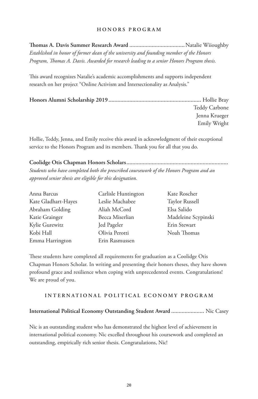### **HONORS PROGRAM**

**Thomas A. Davis Summer Research Award .....................................**Natalie Wiioughby *Established in honor of former dean of the university and founding member of the Honors Program, Thomas A. Davis. Awarded for research leading to a senior Honors Program thesis.*

This award recognizes Natalie's academic accomplishments and supports independent research on her project "Online Activism and Intersectionality as Analysis."

| Teddy Carbone |
|---------------|
| Jenna Krueger |
| Emily Wright  |

Hollie, Teddy, Jenna, and Emily receive this award in acknowledgment of their exceptional service to the Honors Program and its members. Thank you for all that you do.

**Coolidge Otis Chapman Honors Scholars....................................................................** *Students who have completed both the prescribed coursework of the Honors Program and an approved senior thesis are eligible for this designation.*

| Anna Barcus         | Carlisle Huntington | Kate Roscher        |
|---------------------|---------------------|---------------------|
| Kate Gladhart-Hayes | Leslie Machabee     | Taylor Russell      |
| Abraham Golding     | Aliah McCord        | Elsa Salido         |
| Katie Grainger      | Becca Miserlian     | Madeleine Scypinski |
| Kylie Gurewitz      | Jed Pageler         | Erin Stewart        |
| Kobi Hall           | Olivia Perotti      | Noah Thomas         |
| Emma Harrington     | Erin Rasmussen      |                     |

These students have completed all requirements for graduation as a Coolidge Otis Chapman Honors Scholar. In writing and presenting their honors theses, they have shown profound grace and resilience when coping with unprecedented events. Congratulations! We are proud of you.

#### **INTERNATIONAL POLITICAL ECONOMY PROGRAM**

#### **International Political Economy Outstanding Student Award ......................** Nic Casey

Nic is an outstanding student who has demonstrated the highest level of achievement in international political economy. Nic excelled throughout his coursework and completed an outstanding, empirically rich senior thesis. Congratulations, Nic!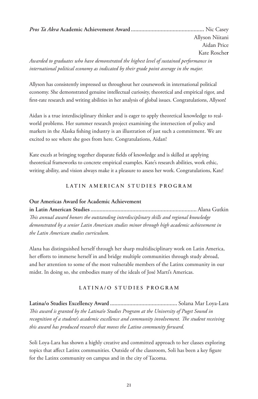*Pros Ta Akra* **Academic Achievement Award .................................................** Nic Casey

Allyson Niitani Aidan Price Kate Rosche**r**

*Awarded to graduates who have demonstrated the highest level of sustained performance in international political economy as indicated by their grade point average in the major.*

Allyson has consistently impressed us throughout her coursework in international political economy. She demonstrated genuine intellectual curiosity, theoretical and empirical rigor, and first-rate research and writing abilities in her analysis of global issues. Congratulations, Allyson!

Aidan is a true interdisciplinary thinker and is eager to apply theoretical knowledge to realworld problems. Her summer research project examining the intersection of policy and markets in the Alaska fishing industry is an illustration of just such a commitment. We are excited to see where she goes from here. Congratulations, Aidan!

Kate excels at bringing together disparate fields of knowledge and is skilled at applying theoretical frameworks to concrete empirical examples. Kate's research abilities, work ethic, writing ability, and vision always make it a pleasure to assess her work. Congratulations, Kate!

## **LATIN AMERICAN STUDIES PROGRAM**

## **Our Americas Award for Academic Achievement**

**in Latin American Studies.......................................................................** Alana Gutkin *This annual award honors the outstanding interdisciplinary skills and regional knowledge demonstrated by a senior Latin American studies minor through high academic achievement in the Latin American studies curriculum.*

Alana has distinguished herself through her sharp multidisciplinary work on Latin America, her efforts to immerse herself in and bridge multiple communities through study abroad, and her attention to some of the most vulnerable members of the Latinx community in our midst. In doing so, she embodies many of the ideals of José Martí's Americas.

## **LATINA/O STUDIES PROGRAM**

**Latina/o Studies Excellency Award .............................................** Solana Mar Loya-Lara *This award is granted by the Latina/o Studies Program at the University of Puget Sound in recognition of a student's academic excellence and community involvement. The student receiving this award has produced research that moves the Latino community forward.*

Soli Loya-Lara has shown a highly creative and committed approach to her classes exploring topics that affect Latinx communities. Outside of the classroom, Soli has been a key figure for the Latinx community on campus and in the city of Tacoma.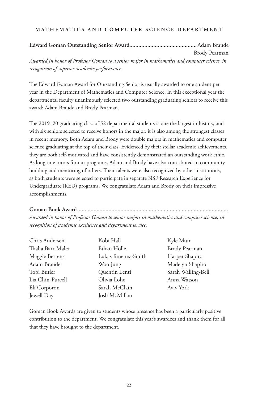## **MATHEMATICS AND COMPUTER SCIENCE DEPARTMENT**

# **Edward Goman Outstanding Senior Award.............................................**Adam Braude Brody Pearman *Awarded in honor of Professor Goman to a senior major in mathematics and computer science, in recognition of superior academic performance.*

The Edward Goman Award for Outstanding Senior is usually awarded to one student per year in the Department of Mathematics and Computer Science. In this exceptional year the departmental faculty unanimously selected two outstanding graduating seniors to receive this award: Adam Braude and Brody Pearman.

The 2019–20 graduating class of 52 departmental students is one the largest in history, and with six seniors selected to receive honors in the major, it is also among the strongest classes in recent memory. Both Adam and Brody were double majors in mathematics and computer science graduating at the top of their class. Evidenced by their stellar academic achievements, they are both self-motivated and have consistently demonstrated an outstanding work ethic. As longtime tutors for our programs, Adam and Brody have also contributed to communitybuilding and mentoring of others. Their talents were also recognized by other institutions, as both students were selected to participate in separate NSF Research Experience for Undergraduate (REU) programs. We congratulate Adam and Brody on their impressive accomplishments.

## **Goman Book Award.....................................................................................................**

*Awarded in honor of Professor Goman to senior majors in mathematics and computer science, in recognition of academic excellence and department service.*

| Chris Andersen    | Kobi Hall           | Kyle Muir          |
|-------------------|---------------------|--------------------|
| Thalia Barr-Malec | Ethan Holle         | Brody Pearman      |
| Maggie Berrens    | Lukas Jimenez-Smith | Harper Shapiro     |
| Adam Braude       | Woo Jung            | Madelyn Shapiro    |
| Tobi Butler       | Quentin Lenti       | Sarah Walling-Bell |
| Lia Chin-Purcell  | Olivia Lohe         | Anna Watson        |
| Eli Corporon      | Sarah McClain       | Aviv York          |
| Jewell Day        | Josh McMillan       |                    |

Goman Book Awards are given to students whose presence has been a particularly positive contribution to the department. We congratulate this year's awardees and thank them for all that they have brought to the department.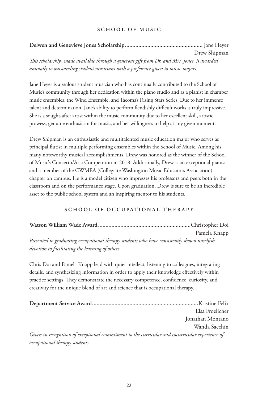## **SCHOOL OF MUSIC**

|                                                                                                                                                                                                                                                               | Drew Shipman |
|---------------------------------------------------------------------------------------------------------------------------------------------------------------------------------------------------------------------------------------------------------------|--------------|
| $\pi$ , $\pi$ , $\pi$ , $\pi$ , $\pi$ , $\pi$ , $\pi$ , $\pi$ , $\pi$ , $\pi$ , $\pi$ , $\pi$ , $\pi$ , $\pi$ , $\pi$ , $\pi$ , $\pi$ , $\pi$ , $\pi$ , $\pi$ , $\pi$ , $\pi$ , $\pi$ , $\pi$ , $\pi$ , $\pi$ , $\pi$ , $\pi$ , $\pi$ , $\pi$ , $\pi$ , $\pi$ |              |

*This scholarship, made available through a generous gift from Dr. and Mrs. Jones, is awarded annually to outstanding student musicians with a preference given to music majors.*

Jane Heyer is a zealous student musician who has continually contributed to the School of Music's community through her dedication within the piano studio and as a pianist in chamber music ensembles, the Wind Ensemble, and Tacoma's Rising Stars Series. Due to her immense talent and determination, Jane's ability to perform fiendishly difficult works is truly impressive. She is a sought-after artist within the music community due to her excellent skill, artistic prowess, genuine enthusiasm for music, and her willingness to help at any given moment.

Drew Shipman is an enthusiastic and multitalented music education major who serves as principal flutist in multiple performing ensembles within the School of Music. Among his many noteworthy musical accomplishments, Drew was honored as the winner of the School of Music's Concerto/Aria Competition in 2018. Additionally, Drew is an exceptional pianist and a member of the CWMEA (Collegiate Washington Music Educators Association) chapter on campus. He is a model citizen who impresses his professors and peers both in the classroom and on the performance stage. Upon graduation, Drew is sure to be an incredible asset to the public school system and an inspiring mentor to his students.

## **SCHOOL OF OCCUPATIONAL THERAPY**

|                                                                                             | Pamela Knapp |
|---------------------------------------------------------------------------------------------|--------------|
| Presented to graduating occupational therapy students who have consistently shown unselfish |              |
| devotion to facilitating the learning of others.                                            |              |

Chris Doi and Pamela Knapp lead with quiet intellect, listening to colleagues, integrating details, and synthesizing information in order to apply their knowledge effectively within practice settings. They demonstrate the necessary competence, confidence, curiosity, and creativity for the unique blend of art and science that is occupational therapy.

|                                                                                                 | Elsa Froelicher  |
|-------------------------------------------------------------------------------------------------|------------------|
|                                                                                                 | Jonathan Montano |
|                                                                                                 | Wanda Saechin    |
| Given in recognition of exceptional commitment to the curricular and cocurricular experience of |                  |
| occupational therapy students.                                                                  |                  |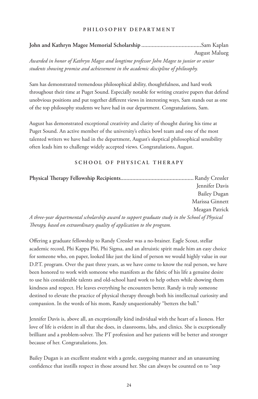## **PHILOSOPHY DEPARTMENT**

# **John and Kathryn Magee Memorial Scholarship ........................................**Sam Kaplan August Malueg

*Awarded in honor of Kathryn Magee and longtime professor John Magee to junior or senior students showing promise and achievement in the academic discipline of philosophy.*

Sam has demonstrated tremendous philosophical ability, thoughtfulness, and hard work throughout their time at Puget Sound. Especially notable for writing creative papers that defend unobvious positions and put together different views in interesting ways, Sam stands out as one of the top philosophy students we have had in our department. Congratulations, Sam.

August has demonstrated exceptional creativity and clarity of thought during his time at Puget Sound. An active member of the university's ethics bowl team and one of the most talented writers we have had in the department, August's skeptical philosophical sensibility often leads him to challenge widely accepted views. Congratulations, August.

## **SCHOOL OF PHYSICAL THERAPY**

|                                                                                                 | Jennifer Davis      |
|-------------------------------------------------------------------------------------------------|---------------------|
|                                                                                                 | <b>Bailey Dugan</b> |
|                                                                                                 | Marissa Ginnett     |
|                                                                                                 | Meagan Patrick      |
| A three-year departmental scholarship award to support graduate study in the School of Physical |                     |

*Therapy, based on extraordinary quality of application to the program.*

Offering a graduate fellowship to Randy Cressler was a no-brainer. Eagle Scout, stellar academic record, Phi Kappa Phi, Phi Sigma, and an altruistic spirit made him an easy choice for someone who, on paper, looked like just the kind of person we would highly value in our D.P.T. program. Over the past three years, as we have come to know the real person, we have been honored to work with someone who manifests as the fabric of his life a genuine desire to use his considerable talents and old-school hard work to help others while showing them kindness and respect. He leaves everything he encounters better. Randy is truly someone destined to elevate the practice of physical therapy through both his intellectual curiosity and compassion. In the words of his mom, Randy unquestionably "betters the ball."

Jennifer Davis is, above all, an exceptionally kind individual with the heart of a lioness. Her love of life is evident in all that she does, in classrooms, labs, and clinics. She is exceptionally brilliant and a problem-solver. The PT profession and her patients will be better and stronger because of her. Congratulations, Jen.

Bailey Dugan is an excellent student with a gentle, easygoing manner and an unassuming confidence that instills respect in those around her. She can always be counted on to "step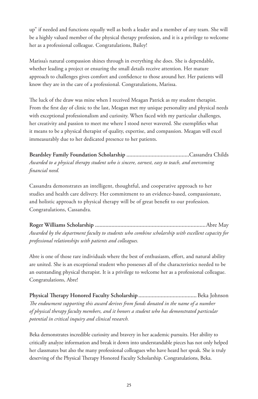up" if needed and functions equally well as both a leader and a member of any team. She will be a highly valued member of the physical therapy profession, and it is a privilege to welcome her as a professional colleague. Congratulations, Bailey!

Marissa's natural compassion shines through in everything she does. She is dependable, whether leading a project or ensuring the small details receive attention. Her mature approach to challenges gives comfort and confidence to those around her. Her patients will know they are in the care of a professional. Congratulations, Marissa.

The luck of the draw was mine when I received Meagan Patrick as my student therapist. From the first day of clinic to the last, Meagan met my unique personality and physical needs with exceptional professionalism and curiosity. When faced with my particular challenges, her creativity and passion to meet me where I stood never wavered. She exemplifies what it means to be a physical therapist of quality, expertise, and compassion. Meagan will excel immeasurably due to her dedicated presence to her patients.

**Beardsley Family Foundation Scholarship ..........................................**Cassandra Childs *Awarded to a physical therapy student who is sincere, earnest, easy to teach, and overcoming financial need.*

Cassandra demonstrates an intelligent, thoughtful, and cooperative approach to her studies and health care delivery. Her commitment to an evidence-based, compassionate, and holistic approach to physical therapy will be of great benefit to our profession. Congratulations, Cassandra.

**Roger Williams Scholarship ..........................................................................**Abre May *Awarded by the department faculty to students who combine scholarship with excellent capacity for professional relationships with patients and colleagues.*

Abre is one of those rare individuals where the best of enthusiasm, effort, and natural ability are united. She is an exceptional student who possesses all of the characteristics needed to be an outstanding physical therapist. It is a privilege to welcome her as a professional colleague. Congratulations, Abre!

**Physical Therapy Honored Faculty Scholarship.......................................**Beka Johnson *The endowment supporting this award derives from funds donated in the name of a number of physical therapy faculty members, and it honors a student who has demonstrated particular potential in critical inquiry and clinical research.*

Beka demonstrates incredible curiosity and bravery in her academic pursuits. Her ability to critically analyze information and break it down into understandable pieces has not only helped her classmates but also the many professional colleagues who have heard her speak. She is truly deserving of the Physical Therapy Honored Faculty Scholarship. Congratulations, Beka.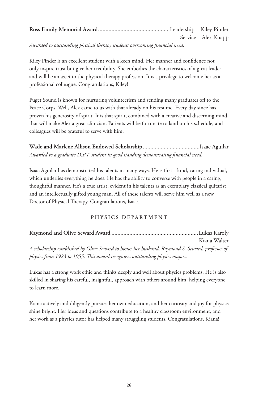| Service – Alex Knapp |
|----------------------|

*Awarded to outstanding physical therapy students overcoming financial need.*

Kiley Pinder is an excellent student with a keen mind. Her manner and confidence not only inspire trust but give her credibility. She embodies the characteristics of a great leader and will be an asset to the physical therapy profession. It is a privilege to welcome her as a professional colleague. Congratulations, Kiley!

Puget Sound is known for nurturing volunteerism and sending many graduates off to the Peace Corps. Well, Alex came to us with that already on his resume. Every day since has proven his generosity of spirit. It is that spirit, combined with a creative and discerning mind, that will make Alex a great clinician. Patients will be fortunate to land on his schedule, and colleagues will be grateful to serve with him.

**Wade and Marlene Allison Endowed Scholarship......................................**Isaac Aguilar *Awarded to a graduate D.P.T. student in good standing demonstrating financial need.*

Isaac Aguilar has demonstrated his talents in many ways. He is first a kind, caring individual, which underlies everything he does. He has the ability to converse with people in a caring, thoughtful manner. He's a true artist, evident in his talents as an exemplary classical guitarist, and an intellectually gifted young man. All of these talents will serve him well as a new Doctor of Physical Therapy. Congratulations, Isaac.

## **PHYSICS DEPARTMENT**

|                                                                                                 | Kiana Walter |
|-------------------------------------------------------------------------------------------------|--------------|
| A scholarship established by Olive Seward to honor her husband, Raymond S. Seward, professor of |              |
| physics from 1923 to 1955. This award recognizes outstanding physics majors.                    |              |

Lukas has a strong work ethic and thinks deeply and well about physics problems. He is also skilled in sharing his careful, insightful, approach with others around him, helping everyone to learn more.

Kiana actively and diligently pursues her own education, and her curiosity and joy for physics shine bright. Her ideas and questions contribute to a healthy classroom environment, and her work as a physics tutor has helped many struggling students. Congratulations, Kiana!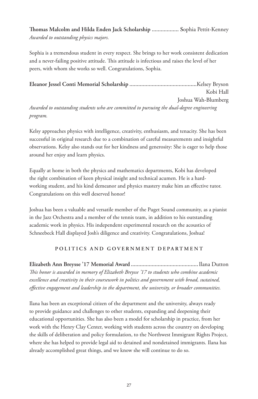**Thomas Malcolm and Hilda Enden Jack Scholarship .................. S**ophia Pettit-Kenney *Awarded to outstanding physics majors.*

Sophia is a tremendous student in every respect. She brings to her work consistent dedication and a never-failing positive attitude. This attitude is infectious and raises the level of her peers, with whom she works so well. Congratulations, Sophia.

**Eleanor Jessel Conti Memorial Scholarship .............................................**Kelsey Bryson Kobi Hall Joshua Wah-Blumberg *Awarded to outstanding students who are committed to pursuing the dual-degree engineering program.*

Kelsy approaches physics with intelligence, creativity, enthusiasm, and tenacity. She has been successful in original research due to a combination of careful measurements and insightful observations. Kelsy also stands out for her kindness and generosity: She is eager to help those around her enjoy and learn physics.

Equally at home in both the physics and mathematics departments, Kobi has developed the right combination of keen physical insight and technical acumen. He is a hardworking student, and his kind demeanor and physics mastery make him an effective tutor. Congratulations on this well deserved honor!

Joshua has been a valuable and versatile member of the Puget Sound community, as a pianist in the Jazz Orchestra and a member of the tennis team, in addition to his outstanding academic work in physics. His independent experimental research on the acoustics of Schneebeck Hall displayed Josh's diligence and creativity. Congratulations, Joshua!

## **POLITICS AND GOVERNMENT DEPARTMENT**

**Elizabeth Ann Breysse '17 Memorial Award .............................................**Ilana Dutton *This honor is awarded in memory of Elizabeth Breysse '17 to students who combine academic excellence and creativity in their coursework in politics and government with broad, sustained, effective engagement and leadership in the department, the university, or broader communities.*

Ilana has been an exceptional citizen of the department and the university, always ready to provide guidance and challenges to other students, expanding and deepening their educational opportunities. She has also been a model for scholarship in practice, from her work with the Henry Clay Center, working with students across the country on developing the skills of deliberation and policy formulation, to the Northwest Immigrant Rights Project, where she has helped to provide legal aid to detained and nondetained immigrants. Ilana has already accomplished great things, and we know she will continue to do so.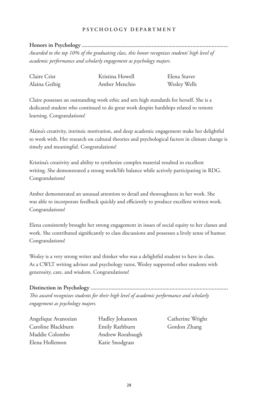## **PSYCHOLOGY DEPARTMENT**

**Honors in Psychology ..................................................................................................** *Awarded to the top 10% of the graduating class, this honor recognizes students' high level of academic performance and scholarly engagement as psychology majors.*

| Claire Crist  | Kristina Howell | Elena Staver |
|---------------|-----------------|--------------|
| Alaina Geibig | Amber Menchio   | Wesley Wells |

Claire possesses an outstanding work ethic and sets high standards for herself. She is a dedicated student who continued to do great work despite hardships related to remote learning. Congratulations!

Alaina's creativity, intrinsic motivation, and deep academic engagement make her delightful to work with. Her research on cultural theories and psychological factors in climate change is timely and meaningful. Congratulations!

Kristina's creativity and ability to synthesize complex material resulted in excellent writing. She demonstrated a strong work/life balance while actively participating in RDG. Congratulations!

Amber demonstrated an unusual attention to detail and thoroughness in her work. She was able to incorporate feedback quickly and efficiently to produce excellent written work. Congratulations!

Elena consistently brought her strong engagement in issues of social equity to her classes and work. She contributed significantly to class discussions and possesses a lively sense of humor. Congratulations!

Wesley is a very strong writer and thinker who was a delightful student to have in class. As a CWLT writing advisor and psychology tutor, Wesley supported other students with generosity, care, and wisdom. Congratulations!

# **Distinction in Psychology ............................................................................................**

*This award recognizes students for their high level of academic performance and scholarly engagement as psychology majors.*

Angelique Avanozian Caroline Blackburn Maddie Colombo Elena Hollemon

Hadley Johanson Emily Rathburn Andrew Rorabaugh Katie Snodgrass

Catherine Wright Gordon Zhang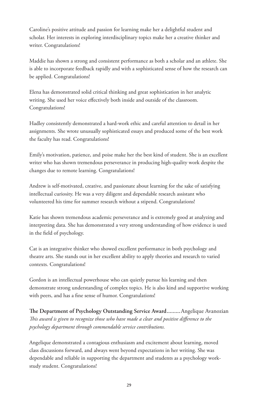Caroline's positive attitude and passion for learning make her a delightful student and scholar. Her interests in exploring interdisciplinary topics make her a creative thinker and writer. Congratulations!

Maddie has shown a strong and consistent performance as both a scholar and an athlete. She is able to incorporate feedback rapidly and with a sophisticated sense of how the research can be applied. Congratulations!

Elena has demonstrated solid critical thinking and great sophistication in her analytic writing. She used her voice effectively both inside and outside of the classroom. Congratulations!

Hadley consistently demonstrated a hard-work ethic and careful attention to detail in her assignments. She wrote unusually sophisticated essays and produced some of the best work the faculty has read. Congratulations!

Emily's motivation, patience, and poise make her the best kind of student. She is an excellent writer who has shown tremendous perseverance in producing high-quality work despite the changes due to remote learning. Congratulations!

Andrew is self-motivated, creative, and passionate about learning for the sake of satisfying intellectual curiosity. He was a very diligent and dependable research assistant who volunteered his time for summer research without a stipend. Congratulations!

Katie has shown tremendous academic perseverance and is extremely good at analyzing and interpreting data. She has demonstrated a very strong understanding of how evidence is used in the field of psychology.

Cat is an integrative thinker who showed excellent performance in both psychology and theatre arts. She stands out in her excellent ability to apply theories and research to varied contexts. Congratulations!

Gordon is an intellectual powerhouse who can quietly pursue his learning and then demonstrate strong understanding of complex topics. He is also kind and supportive working with peers, and has a fine sense of humor. Congratulations!

**The Department of Psychology Outstanding Service Award.........**Angelique Avanozian *This award is given to recognize those who have made a clear and positive difference to the psychology department through commendable service contributions.*

Angelique demonstrated a contagious enthusiasm and excitement about learning, moved class discussions forward, and always went beyond expectations in her writing. She was dependable and reliable in supporting the department and students as a psychology workstudy student. Congratulations!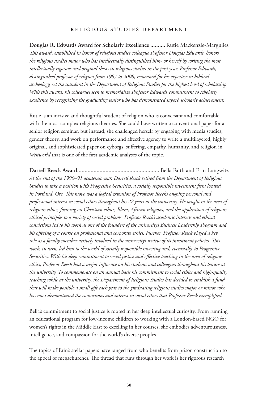#### **RELIGIOUS STUDIES DEPARTMENT**

**Douglas R. Edwards Award for Scholarly Excellence ..........** Rutie Mackenzie-Margulies *This award, established in honor of religious studies colleague Professor Douglas Edwards, honors the religious studies major who has intellectually distinguished him- or herself by writing the most intellectually rigorous and original thesis in religious studies in the past year. Professor Edwards, distinguished professor of religion from 1987 to 2008, renowned for his expertise in biblical archeology, set the standard in the Department of Religious Studies for the highest level of scholarship. With this award, his colleagues seek to memorialize Professor Edwards' commitment to scholarly excellence by recognizing the graduating senior who has demonstrated superb scholarly achievement.*

Rutie is an incisive and thoughtful student of religion who is conversant and comfortable with the most complex religious theories. She could have written a conventional paper for a senior religion seminar, but instead, she challenged herself by engaging with media studies, gender theory, and work on performance and affective agency to write a multilayered, highly original, and sophisticated paper on cyborgs, suffering, empathy, humanity, and religion in *Westworld* that is one of the first academic analyses of the topic.

**Darrell Reeck Award.......................................................** Bella Faith and Erin Lungwitz *At the end of the 1990–91 academic year, Darrell Reeck retired from the Department of Religious Studies to take a position with Progressive Securities, a socially responsible investment firm located in Portland, Ore. This move was a logical extension of Professor Reeck's ongoing personal and professional interest in social ethics throughout his 22 years at the university. He taught in the area of religious ethics, focusing on Christian ethics, Islam, African religions, and the application of religious ethical principles to a variety of social problems. Professor Reeck's academic interests and ethical convictions led to his work as one of the founders of the university's Business Leadership Program and his offering of a course on professional and corporate ethics. Further, Professor Reeck played a key role as a faculty member actively involved in the university's review of its investment policies. This work, in turn, led him to the world of socially responsible investing and, eventually, to Progressive Securities. With his deep commitment to social justice and effective teaching in the area of religious ethics, Professor Reeck had a major influence on his students and colleagues throughout his tenure at the university. To commemorate on an annual basis his commitment to social ethics and high-quality teaching while at the university, the Department of Religious Studies has decided to establish a fund that will make possible a small gift each year to the graduating religious studies major or minor who has most demonstrated the convictions and interest in social ethics that Professor Reeck exemplified.*

Bella's commitment to social justice is rooted in her deep intellectual curiosity. From running an educational program for low-income children to working with a London-based NGO for women's rights in the Middle East to excelling in her courses, she embodies adventurousness, intelligence, and compassion for the world's diverse peoples.

The topics of Erin's stellar papers have ranged from who benefits from prison construction to the appeal of megachurches. The thread that runs through her work is her rigorous research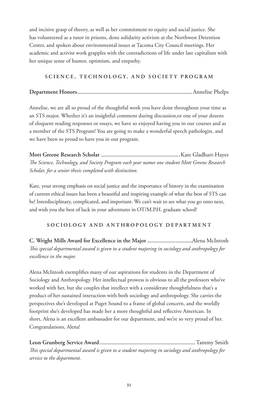and incisive grasp of theory, as well as her commitment to equity and social justice. She has volunteered as a tutor in prisons, done solidarity activism at the Northwest Detention Center, and spoken about environmental issues at Tacoma City Council meetings. Her academic and activist work grapples with the contradictions of life under late capitalism with her unique sense of humor, optimism, and empathy.

## **SCIENCE, TECHNOLOGY, AND SOCIETY PROGRAM**

## **Department Honors.............................................................................**Annelise Phelps

Annelise, we are all so proud of the thoughtful work you have done throughout your time as an STS major. Whether it's an insightful comment during discussion,or one of your dozens of eloquent reading responses or essays, we have so enjoyed having you in our courses and as a member of the STS Program! You are going to make a wonderful speech pathologist, and we have been so proud to have you in our program.

**Mott Greene Research Scholar .....................................................**Kate Gladhart-Hayes *The Science, Technology, and Society Program each year names one student Mott Greene Research Scholar, for a senior thesis completed with distinction.*

Kate, your strong emphasis on social justice and the importance of history in the examination of current ethical issues has been a beautiful and inspiring example of what the best of STS can be! Interdisciplinary, complicated, and important. We can't wait to see what you go onto next, and wish you the best of luck in your adventures in OT/M.P.H. graduate school!

## **SOCIOLOGY AND ANTHROPOLOGY DEPARTMENT**

**C. Wright Mills Award for Excellence in the Major ..............................**Alena McIntosh *This special departmental award is given to a student majoring in sociology and anthropology for excellence in the major.*

Alena McIntosh exemplifies many of our aspirations for students in the Department of Sociology and Anthropology. Her intellectual prowess is obvious to all the professors who've worked with her, but she couples that intellect with a considerate thoughtfulness that's a product of her sustained interaction with both sociology and anthropology. She carries the perspectives she's developed at Puget Sound to a frame of global concern, and the worldly footprint she's developed has made her a more thoughtful and reflective American. In short, Alena is an excellent ambassador for our department, and we're so very proud of her. Congratulations, Alena!

**Leon Grunberg Service Award................................................................**Tammy Smith *This special departmental award is given to a student majoring in sociology and anthropology for service to the department.*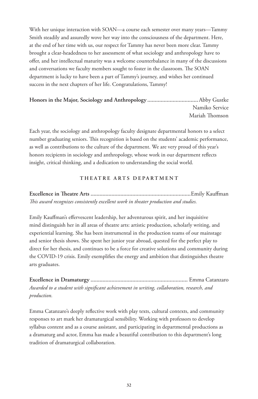With her unique interaction with SOAN—a course each semester over many years—Tammy Smith steadily and assuredly wove her way into the consciousness of the department. Here, at the end of her time with us, our respect for Tammy has never been more clear. Tammy brought a clear-headedness to her assessment of what sociology and anthropology have to offer, and her intellectual maturity was a welcome counterbalance in many of the discussions and conversations we faculty members sought to foster in the classroom. The SOAN department is lucky to have been a part of Tammy's journey, and wishes her continued success in the next chapters of her life. Congratulations, Tammy!

# **Honors in the Major, Sociology and Anthropology ..................................**Abby Gustke Namiko Service Mariah Thomson

Each year, the sociology and anthropology faculty designate departmental honors to a select number graduating seniors. This recognition is based on the students' academic performance, as well as contributions to the culture of the department. We are very proud of this year's honors recipients in sociology and anthropology, whose work in our department reflects insight, critical thinking, and a dedication to understanding the social world.

## **THEATRE ARTS DEPARTMENT**

# **Excellence in Theatre Arts ...................................................................**Emily Kauffman *This award recognizes consistently excellent work in theater production and studies.*

Emily Kauffman's effervescent leadership, her adventurous spirit, and her inquisitive mind distinguish her in all areas of theatre arts: artistic production, scholarly writing, and experiential learning. She has been instrumental in the production teams of our mainstage and senior thesis shows. She spent her junior year abroad, quested for the perfect play to direct for her thesis, and continues to be a force for creative solutions and community during the COVID-19 crisis. Emily exemplifies the energy and ambition that distinguishes theatre arts graduates.

**Excellence in Dramaturgy .................................................................** Emma Catanzaro *Awarded to a student with significant achievement in writing, collaboration, research, and production.*

Emma Catanzaro's deeply reflective work with play texts, cultural contexts, and community responses to art mark her dramaturgical sensibility. Working with professors to develop syllabus content and as a course assistant, and participating in departmental productions as a dramaturg and actor, Emma has made a beautiful contribution to this department's long tradition of dramaturgical collaboration.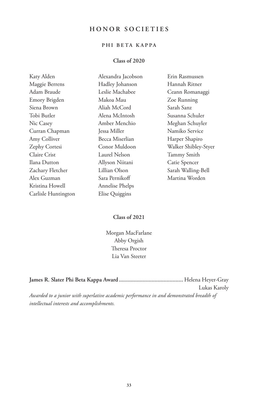# **HONOR SOCIETIES**

# **PHI BETA KAPPA**

## **Class of 2020**

| Katy Alden          | Alexandra Jacobson | Erin Rasmussen       |
|---------------------|--------------------|----------------------|
| Maggie Berrens      | Hadley Johanson    | Hannah Ritner        |
| Adam Braude         | Leslie Machabee    | Ceann Romanaggi      |
| Emory Brigden       | Makoa Mau          | Zoe Running          |
| Siena Brown         | Aliah McCord       | Sarah Sanz           |
| Tobi Butler         | Alena McIntosh     | Susanna Schuler      |
| Nic Casey           | Amber Menchio      | Meghan Schuyler      |
| Curran Chapman      | Jessa Miller       | Namiko Service       |
| Amy Colliver        | Becca Miserlian    | Harper Shapiro       |
| Zephy Cortesi       | Conor Muldoon      | Walker Shibley-Styer |
| Claire Crist        | Laurel Nelson      | Tammy Smith          |
| Ilana Dutton        | Allyson Niitani    | Catie Spencer        |
| Zachary Fletcher    | Lillian Olson      | Sarah Walling-Bell   |
| Alex Guzman         | Sara Pernikoff     | Martina Worden       |
| Kristina Howell     | Annelise Phelps    |                      |
| Carlisle Huntington | Elise Quiggins     |                      |

# **Class of 2021**

Morgan MacFarlane Abby Orgish Theresa Proctor Lia Van Steeter

|                                                                                          | Lukas Karoly |
|------------------------------------------------------------------------------------------|--------------|
| Awarded to a junior with superlative academic performance in and demonstrated breadth of |              |
| intellectual interests and accomplishments.                                              |              |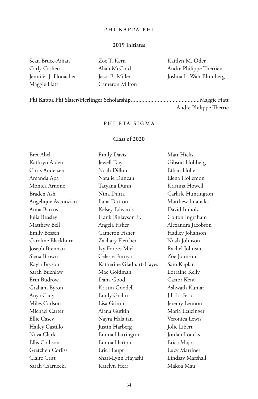#### **PHI KAPPA PHI**

## **2019 Initiates**

| Sean Bruce-Aijian     |
|-----------------------|
| Carly Cashen          |
| Jennifer J. Flonacher |
| Maggie Hatt           |

Zoe T. Kern Aliah McCord Jessa B. Miller Cameron Milton Kaitlyn M. Oder Andre Philippe Therrien Joshua L. Wah-Blumberg

**Phi Kappa Phi Slater/Herlinger Scholarship..............................................**Maggie Hatt Andre Philippe Therrie

## **PHI ETA SIGMA**

## **Class of 2020**

| <b>Bret Abel</b>    | <b>Emily Davis</b>       | Matt Hicks          |
|---------------------|--------------------------|---------------------|
| Kathryn Alden       | Jewell Day               | Gibson Hohberg      |
| Chris Andersen      | Noah Dillon              | Ethan Holle         |
| Amanda Apa          | Natalie Duncan           | Elena Hollemon      |
| Monica Arnone       | Tatyana Dunn             | Kristina Howell     |
| Braden Ash          | Nina Dutta               | Carlisle Huntington |
| Angelique Avanozian | Ilana Dutton             | Matthew Imanaka     |
| Anna Barcus         | Kelsey Edwards           | David Imholz        |
| Julia Beasley       | Frank Finlayson Jr.      | Colton Ingraham     |
| Matthew Bell        | Angela Fisher            | Alexandra Jacobson  |
| <b>Emily Bessen</b> | Cameron Fisher           | Hadley Johanson     |
| Caroline Blackburn  | Zachary Fletcher         | Noah Johnson        |
| Joseph Brennan      | Ivy Forbes Miel          | Rachel Johnson      |
| Siena Brown         | Celeste Furuya           | Zoe Johnson         |
| Kayla Bryson        | Katherine Gladhart-Hayes | Sam Kaplan          |
| Sarah Buchlaw       | Mac Goldman              | Lorraine Kelly      |
| Erin Budrow         | Dana Good                | <b>Castor Kent</b>  |
| Graham Byron        | Kristin Goodell          | Ashwath Kumar       |
| Anya Cady           | Emily Grahn              | Jill La Fetra       |
| Miles Carlson       | Lisa Grimm               | Jeremy Lennon       |
| Michael Carter      | Alana Gutkin             | Maria Leuzinger     |
| Ellie Casey         | Nayra Halajian           | Veronica Lewis      |
| Hailey Castillo     | Justin Harberg           | Jolie Libert        |
| Nova Clark          | Emma Harrington          | Jordan Loucks       |
| Ellis Collison      | Emma Hatton              | Erica Major         |
| Gretchen Corliss    | Eric Haupt               | Lucy Marriner       |
| Claire Crist        | Shari-Lynn Hayashi       | Lindsay Marshall    |
| Sarah Czarnecki     | Katelyn Herr             | Makoa Mau           |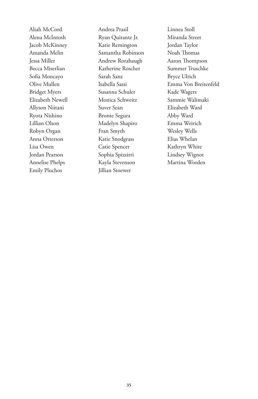Aliah McCord Alena McIntosh Jacob McKinney Amanda Melin Jessa Miller Becca Miserlian Sofia Moncayo Olive Mullen Bridget Myers Elizabeth Newell Allyson Niitani Ryota Nishino Lillian Olson Robyn Organ Anna Otterson Lisa Owen Jordan Pearson Annelise Phelps Emily Pluchos

Andrea Prasil Ryan Quirante Jr. Katie Remington Samantha Robinson Andrew Rorabaugh Katherine Roscher Sarah Sanz Isabella Sassi Susanna Schuler Monica Schweitz Suver Sean Bronte Segura Madelyn Shapiro Fran Smyth Katie Snodgrass Catie Spencer Sophia Spizzirri Kayla Stevenson Jillian Stoewer

Linnea Stoll Miranda Street Jordan Taylor Noah Thomas Aaron Thompson Summer Truschke Bryce Ulrich Emma Von Breitenfeld Kade Wagers Sammie Walimaki Elizabeth Ward Abby Ward Emma Weirich Wesley Wells Elias Whelan Kathryn White Lindsey Wignot Martina Worden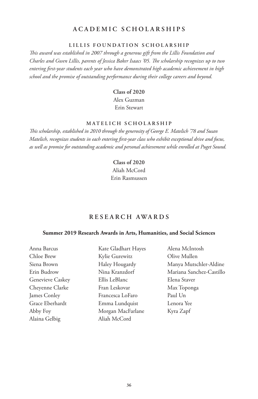# **ACADEMIC SCHOLARSHIPS**

#### **LILLIS FOUNDATION SCHOLARSHIP**

*This award was established in 2007 through a generous gift from the Lillis Foundation and Charles and Gwen Lillis, parents of Jessica Baker Isaacs '05. The scholarship recognizes up to two entering first-year students each year who have demonstrated high academic achievement in high school and the promise of outstanding performance during their college careers and beyond.*

> **Class of 2020** Alex Guzman Erin Stewart

## **MATELICH SCHOLARSHIP**

*This scholarship, established in 2010 through the generosity of George E. Matelich '78 and Susan Matelich, recognizes students in each entering first-year class who exhibit exceptional drive and focus, as well as promise for outstanding academic and personal achievement while enrolled at Puget Sound.*

# **Class of 2020** Aliah McCord Erin Rasmussen

## **RESEARCH AWARDS**

#### **Summer 2019 Research Awards in Arts, Humanities, and Social Sciences**

| Anna Barcus      | Kate Gladhart Hayes | Alena McIntosh           |
|------------------|---------------------|--------------------------|
| Chloe Brew       | Kylie Gurewitz      | Olive Mullen             |
| Siena Brown      | Haley Hougardy      | Manya Mutschler-Aldine   |
| Erin Budrow      | Nina Kranzdorf      | Mariana Sanchez-Castillo |
| Genevieve Caskey | Ellis LeBlanc       | Elena Staver             |
| Cheyenne Clarke  | Fran Leskovar       | Max Toponga              |
| James Conley     | Francesca LoFaro    | Paul Un                  |
| Grace Eberhardt  | Emma Lundquist      | Lenora Yee               |
| Abby Foy         | Morgan MacFarlane   | Kyra Zapf                |
| Alaina Gelbig    | Aliah McCord        |                          |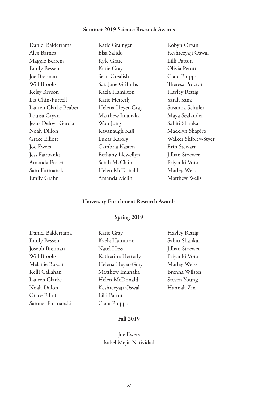# **Summer 2019 Science Research Awards**

| Daniel Balderrama    | Katie Grainger     | Robyn Organ          |
|----------------------|--------------------|----------------------|
| Alex Barnes          | Elsa Salido        | Keshreeyaji Oswal    |
| Maggie Berrens       | Kyle Grate         | Lilli Patton         |
| <b>Emily Bessen</b>  | Katie Gray         | Olivia Perotti       |
| Joe Brennan          | Sean Grealish      | Clara Phipps         |
| Will Brooks          | SaraJane Griffiths | Theresa Proctor      |
| Kelsy Bryson         | Kaela Hamilton     | <b>Hayley Rettig</b> |
| Lia Chin-Purcell     | Katie Hetterly     | Sarah Sanz           |
| Lauren Clarke Beaber | Helena Heyer-Gray  | Susanna Schuler      |
| Louisa Cryan         | Matthew Imanaka    | Maya Sealander       |
| Jesus Deloya Garcia  | Woo Jung           | Sahiti Shankar       |
| Noah Dillon          | Kavanaugh Kaji     | Madelyn Shapiro      |
| Grace Elliott        | Lukas Karoly       | Walker Shibley-Styer |
| Joe Ewers            | Cambria Kasten     | Erin Stewart         |
| Jess Fairbanks       | Bethany Llewellyn  | Jillian Stoewer      |
| Amanda Foster        | Sarah McClain      | Priyanki Vora        |
| Sam Furmanski        | Helen McDonald     | Marley Weiss         |
| Emily Grahn          | Amanda Melin       | Matthew Wells        |
|                      |                    |                      |

# **University Enrichment Research Awards**

# **Spring 2019**

| Daniel Balderrama   | Katie Gray         | <b>Hayley Rettig</b> |
|---------------------|--------------------|----------------------|
| <b>Emily Bessen</b> | Kaela Hamilton     | Sahiti Shankar       |
| Joseph Brennan      | Natel Hess         | Jillian Stoewer      |
| Will Brooks         | Katherine Hetterly | Priyanki Vora        |
| Melanie Bussan      | Helena Heyer-Gray  | Marley Weiss         |
| Kelli Callahan      | Matthew Imanaka    | Brenna Wilson        |
| Lauren Clarke       | Helen McDonald     | Steven Young         |
| Noah Dillon         | Keshreeyaji Oswal  | Hannah Zin           |
| Grace Elliott       | Lilli Patton       |                      |
| Samuel Furmanski    | Clara Phipps       |                      |
|                     |                    |                      |

# **Fall 2019**

# Joe Ewers Isabel Mejia Natividad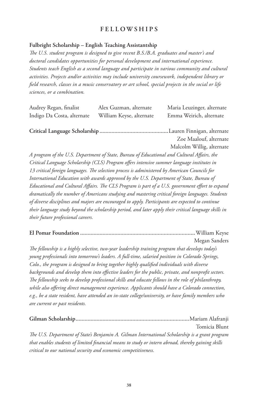## **FELLOWSHIPS**

## **Fulbright Scholarship – English Teaching Assistantship**

*The U.S. student program is designed to give recent B.S./B.A. graduates and master's and doctoral candidates opportunities for personal development and international experience. Students teach English as a second language and participate in various community and cultural activities. Projects and/or activities may include university coursework, independent library or field research, classes in a music conservatory or art school, special projects in the social or life sciences, or a combination.*

| Audrey Regan, finalist     | Alex Guzman, alternate   | Maria Leuzinger, alternate |
|----------------------------|--------------------------|----------------------------|
| Indigo Da Costa, alternate | William Keyse, alternate | Emma Weirich, alternate    |
|                            |                          |                            |
|                            |                          |                            |
|                            |                          | Zoe Maalouf, alternate     |
|                            |                          | Malcolm Willig, alternate  |

*A program of the U.S. Department of State, Bureau of Educational and Cultural Affairs, the Critical Language Scholarship (CLS) Program offers intensive summer language institutes in 13 critical foreign languages. The selection process is administered by American Councils for International Education with awards approved by the U.S. Department of State, Bureau of Educational and Cultural Affairs. The CLS Program is part of a U.S. government effort to expand dramatically the number of Americans studying and mastering critical foreign languages. Students of diverse disciplines and majors are encouraged to apply. Participants are expected to continue their language study beyond the scholarship period, and later apply their critical language skills in their future professional careers.*

**El Pomar Foundation .............................................................................**William Keyse

Megan Sanders

*The fellowship is a highly selective, two-year leadership training program that develops today's young professionals into tomorrow's leaders. A full-time, salaried position in Colorado Springs, Colo., the program is designed to bring together highly qualified individuals with diverse backgrounds and develop them into effective leaders for the public, private, and nonprofit sectors. The fellowship seeks to develop professional skills and educate fellows in the role of philanthropy, while also offering direct management experience. Applicants should have a Colorado connection, e.g., be a state resident, have attended an in-state college/university, or have family members who are current or past residents.*

|                                                                                                    | Tomicia Blunt |
|----------------------------------------------------------------------------------------------------|---------------|
| The U.S. Department of State's Benjamin A. Gilman International Scholarship is a grant program     |               |
| that enables students of limited financial means to study or intern abroad, thereby gaining skills |               |
| critical to our national security and economic competitiveness.                                    |               |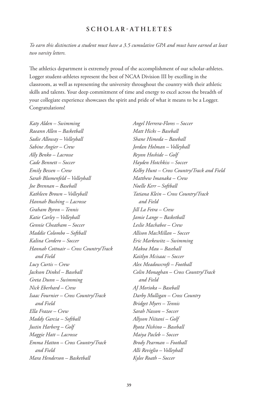## **SCHOLAR-ATHLETES**

*To earn this distinction a student must have a 3.5 cumulative GPA and must have earned at least two varsity letters.*

The athletics department is extremely proud of the accomplishment of our scholar-athletes. Logger student-athletes represent the best of NCAA Division III by excelling in the classroom, as well as representing the university throughout the country with their athletic skills and talents. Your deep commitment of time and energy to excel across the breadth of your collegiate experience showcases the spirit and pride of what it means to be a Logger. Congratulations!

*Katy Alden – Swimming Raeann Allen – Basketball Sadie Alloway – Volleyball Sabine Angier – Crew Ally Benko – Lacrosse Cade Bennett – Soccer Emily Bessen – Crew Sarah Blumenfeld – Volleyball Joe Brennan – Baseball Kathleen Brown – Volleyball Hannah Bushing – Lacrosse Graham Byron – Tennis Katie Carley – Volleyball Gennie Cheatham – Soccer Maddie Colombo – Softball Kalina Cordero – Soccer Hannah Cottnair – Cross Country/Track and Field Lucy Curtis – Crew Jackson Dinkel – Baseball Greta Dunn – Swimming Nick Eberhard – Crew Isaac Fournier – Cross Country/Track and Field Ella Frazee – Crew Maddy Garcia – Softball Justin Harberg – Golf Maggie Hatt – Lacrosse Emma Hatton – Cross Country/Track and Field Mara Henderson – Basketball*

*Angel Herrera-Flores – Soccer Matt Hicks – Baseball Shane Himeda – Baseball Jordan Holman – Volleyball Reynn Hoshide – Golf Hayden Hotchkiss – Soccer Kelby Hunt – Cross Country/Track and Field Matthew Imanaka – Crew Noelle Kerr – Softball Tatiana Klein – Cross Country/Track and Field Jill La Fetra – Crew Jamie Lange – Basketball Leslie Machabee – Crew Allison MacMillan – Soccer Eric Markewitz – Swimming Makoa Mau – Baseball Kaitlyn Mcisaac – Soccer Alex Meadowcroft – Football Colin Monaghan – Cross Country/Track and Field AJ Morioka – Baseball Darby Mulligan – Cross Country Bridget Myers – Tennis Sarah Nasson – Soccer Allyson Niitani – Golf Ryota Nishino – Baseball Maiya Pacleb – Soccer Brody Pearman – Football Alli Reviglio – Volleyball Kylee Roath – Soccer*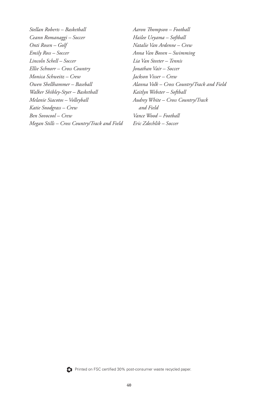*Stellan Roberts – Basketball Ceann Romanaggi – Soccer Onti Rosen – Golf Emily Ross – Soccer Lincoln Schell – Soccer Ellie Schnorr – Cross Country Monica Schweitz – Crew Owen Shellhammer – Baseball Walker Shibley-Styer – Basketball Melanie Siacotos – Volleyball Katie Snodgrass – Crew Ben Sovocool – Crew Megan Stills – Cross Country/Track and Field*

*Aaron Thompson – Football Hailee Ueyama – Softball Natalie Van Ardenne – Crew Anna Van Boven – Swimming Lia Van Steeter – Tennis Jonathan Vair – Soccer Jackson Visser – Crew Alanna Volk – Cross Country/Track and Field Kaitlyn Webster – Softball Audrey White – Cross Country/Track and Field Vance Wood – Football Eric Zdechlik – Soccer*



Printed on FSC certified 30% post-consumer waste recycled paper.